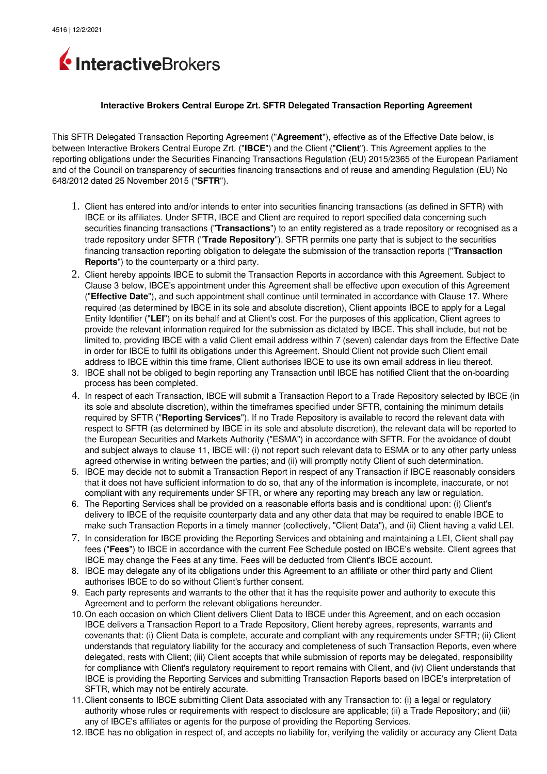

## **Interactive Brokers Central Europe Zrt. SFTR Delegated Transaction Reporting Agreement**

This SFTR Delegated Transaction Reporting Agreement ("**Agreement**"), effective as of the Effective Date below, is between Interactive Brokers Central Europe Zrt. ("**IBCE**") and the Client ("**Client**"). This Agreement applies to the reporting obligations under the Securities Financing Transactions Regulation (EU) 2015/2365 of the European Parliament and of the Council on transparency of securities financing transactions and of reuse and amending Regulation (EU) No 648/2012 dated 25 November 2015 ("**SFTR**").

- 1. Client has entered into and/or intends to enter into securities financing transactions (as defined in SFTR) with IBCE or its affiliates. Under SFTR, IBCE and Client are required to report specified data concerning such securities financing transactions ("**Transactions**") to an entity registered as a trade repository or recognised as a trade repository under SFTR ("**Trade Repository**"). SFTR permits one party that is subject to the securities financing transaction reporting obligation to delegate the submission of the transaction reports ("**Transaction Reports**") to the counterparty or a third party.
- 2. Client hereby appoints IBCE to submit the Transaction Reports in accordance with this Agreement. Subject to Clause 3 below, IBCE's appointment under this Agreement shall be effective upon execution of this Agreement ("**Effective Date**"), and such appointment shall continue until terminated in accordance with Clause 17. Where required (as determined by IBCE in its sole and absolute discretion), Client appoints IBCE to apply for a Legal Entity Identifier ("**LEI**") on its behalf and at Client's cost. For the purposes of this application, Client agrees to provide the relevant information required for the submission as dictated by IBCE. This shall include, but not be limited to, providing IBCE with a valid Client email address within 7 (seven) calendar days from the Effective Date in order for IBCE to fulfil its obligations under this Agreement. Should Client not provide such Client email address to IBCE within this time frame, Client authorises IBCE to use its own email address in lieu thereof.
- 3. IBCE shall not be obliged to begin reporting any Transaction until IBCE has notified Client that the on-boarding process has been completed.
- 4. In respect of each Transaction, IBCE will submit a Transaction Report to a Trade Repository selected by IBCE (in its sole and absolute discretion), within the timeframes specified under SFTR, containing the minimum details required by SFTR ("**Reporting Services**"). If no Trade Repository is available to record the relevant data with respect to SFTR (as determined by IBCE in its sole and absolute discretion), the relevant data will be reported to the European Securities and Markets Authority ("ESMA") in accordance with SFTR. For the avoidance of doubt and subject always to clause 11, IBCE will: (i) not report such relevant data to ESMA or to any other party unless agreed otherwise in writing between the parties; and (ii) will promptly notify Client of such determination.
- 5. IBCE may decide not to submit a Transaction Report in respect of any Transaction if IBCE reasonably considers that it does not have sufficient information to do so, that any of the information is incomplete, inaccurate, or not compliant with any requirements under SFTR, or where any reporting may breach any law or regulation.
- 6. The Reporting Services shall be provided on a reasonable efforts basis and is conditional upon: (i) Client's delivery to IBCE of the requisite counterparty data and any other data that may be required to enable IBCE to make such Transaction Reports in a timely manner (collectively, "Client Data"), and (ii) Client having a valid LEI.
- 7. In consideration for IBCE providing the Reporting Services and obtaining and maintaining a LEI, Client shall pay fees ("**Fees**") to IBCE in accordance with the current Fee Schedule posted on IBCE's website. Client agrees that IBCE may change the Fees at any time. Fees will be deducted from Client's IBCE account.
- 8. IBCE may delegate any of its obligations under this Agreement to an affiliate or other third party and Client authorises IBCE to do so without Client's further consent.
- 9. Each party represents and warrants to the other that it has the requisite power and authority to execute this Agreement and to perform the relevant obligations hereunder.
- 10.On each occasion on which Client delivers Client Data to IBCE under this Agreement, and on each occasion IBCE delivers a Transaction Report to a Trade Repository, Client hereby agrees, represents, warrants and covenants that: (i) Client Data is complete, accurate and compliant with any requirements under SFTR; (ii) Client understands that regulatory liability for the accuracy and completeness of such Transaction Reports, even where delegated, rests with Client; (iii) Client accepts that while submission of reports may be delegated, responsibility for compliance with Client's regulatory requirement to report remains with Client, and (iv) Client understands that IBCE is providing the Reporting Services and submitting Transaction Reports based on IBCE's interpretation of SFTR, which may not be entirely accurate.
- 11.Client consents to IBCE submitting Client Data associated with any Transaction to: (i) a legal or regulatory authority whose rules or requirements with respect to disclosure are applicable; (ii) a Trade Repository; and (iii) any of IBCE's affiliates or agents for the purpose of providing the Reporting Services.
- 12.IBCE has no obligation in respect of, and accepts no liability for, verifying the validity or accuracy any Client Data